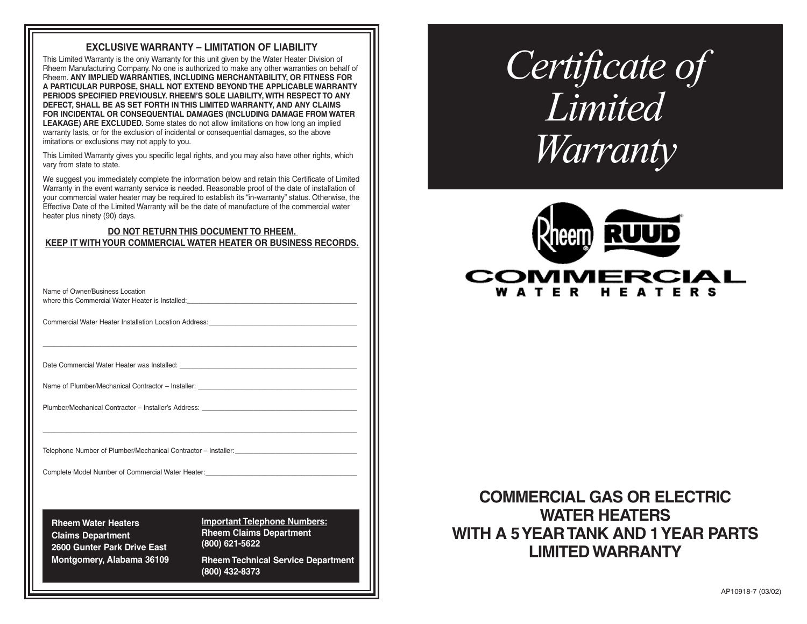# **EXCLUSIVE WARRANTY – LIMITATION OF LIABILITY**

This Limited Warranty is the only Warranty for this unit given by the Water Heater Division of Rheem Manufacturing Company. No one is authorized to make any other warranties on behalf of Rheem. **ANY IMPLIED WARRANTIES, INCLUDING MERCHANTABILITY, OR FITNESS FOR A PARTICULAR PURPOSE, SHALL NOT EXTEND BEYOND THE APPLICABLE WARRANTY PERIODS SPECIFIED PREVIOUSLY. RHEEM'S SOLE LIABILITY, WITH RESPECT TO ANY DEFECT, SHALL BE AS SET FORTH IN THIS LIMITED WARRANTY, AND ANY CLAIMS FOR INCIDENTAL OR CONSEQUENTIAL DAMAGES (INCLUDING DAMAGE FROM WATER LEAKAGE) ARE EXCLUDED.** Some states do not allow limitations on how long an implied warranty lasts, or for the exclusion of incidental or consequential damages, so the above imitations or exclusions may not apply to you.

This Limited Warranty gives you specific legal rights, and you may also have other rights, which vary from state to state.

We suggest you immediately complete the information below and retain this Certificate of Limited Warranty in the event warranty service is needed. Reasonable proof of the date of installation of your commercial water heater may be required to establish its "in-warranty" status. Otherwise, the Effective Date of the Limited Warranty will be the date of manufacture of the commercial water heater plus ninety (90) days.

## **DO NOT RETURN THIS DOCUMENT TO RHEEM. KEEP IT WITH YOUR COMMERCIAL WATER HEATER OR BUSINESS RECORDS.**

\_\_\_\_\_\_\_\_\_\_\_\_\_\_\_\_\_\_\_\_\_\_\_\_\_\_\_\_\_\_\_\_\_\_\_\_\_\_\_\_\_\_\_\_\_\_\_\_\_\_\_\_\_\_\_\_\_\_\_\_\_\_\_\_\_\_\_\_\_\_\_\_\_\_\_\_\_\_\_\_\_\_\_\_\_

\_\_\_\_\_\_\_\_\_\_\_\_\_\_\_\_\_\_\_\_\_\_\_\_\_\_\_\_\_\_\_\_\_\_\_\_\_\_\_\_\_\_\_\_\_\_\_\_\_\_\_\_\_\_\_\_\_\_\_\_\_\_\_\_\_\_\_\_\_\_\_\_\_\_\_\_\_\_\_\_\_\_\_\_\_

| Name of Owner/Business Location                  |  |
|--------------------------------------------------|--|
| where this Commercial Water Heater is Installed: |  |

Commercial Water Heater Installation Location Address:

Date Commercial Water Heater was Installed:

Name of Plumber/Mechanical Contractor – Installer:

Plumber/Mechanical Contractor – Installer's Address:

Telephone Number of Plumber/Mechanical Contractor – Installer:

Complete Model Number of Commercial Water Heater:

**Rheem Water Heaters Claims Department 2600 Gunter Park Drive East Montgomery, Alabama 36109** **Important Telephone Numbers: Rheem Claims Department (800) 621-5622**

**Rheem Technical Service Department (800) 432-8373** 

# *Certificate of Limited Warranty*



# **COMMERCIAL GAS OR ELECTRIC WATER HEATERS WITH A 5 YEAR TANK AND 1 YEAR PARTS LIMITED WARRANTY**